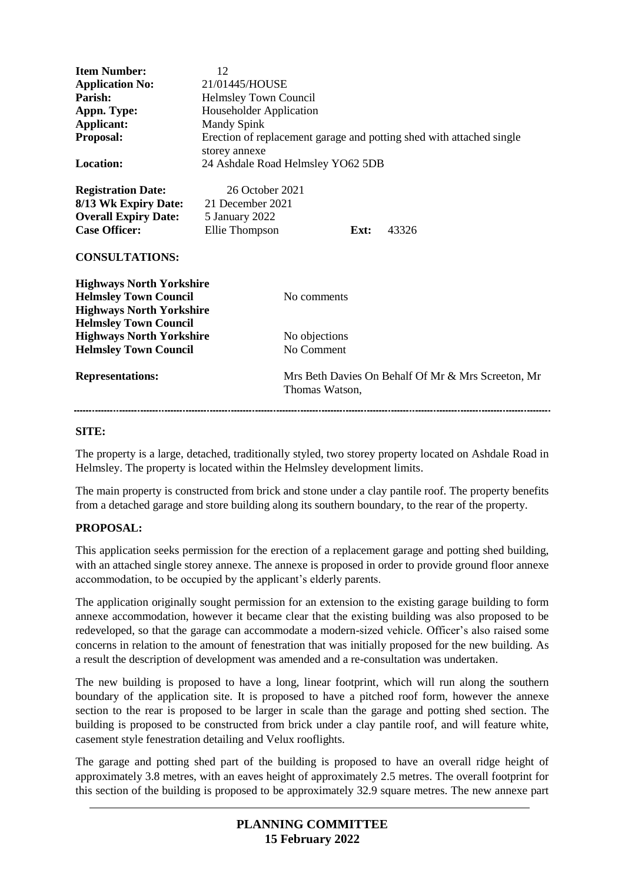| <b>Item Number:</b><br><b>Application No:</b><br>Parish:<br>Appn. Type:<br>Applicant:<br>Proposal:                                | 12<br>21/01445/HOUSE<br><b>Helmsley Town Council</b><br>Householder Application<br><b>Mandy Spink</b><br>storey annexe |                             | Erection of replacement garage and potting shed with attached single |
|-----------------------------------------------------------------------------------------------------------------------------------|------------------------------------------------------------------------------------------------------------------------|-----------------------------|----------------------------------------------------------------------|
| Location:                                                                                                                         | 24 Ashdale Road Helmsley YO62 5DB                                                                                      |                             |                                                                      |
| <b>Registration Date:</b><br>8/13 Wk Expiry Date:<br><b>Overall Expiry Date:</b><br><b>Case Officer:</b><br><b>CONSULTATIONS:</b> | 26 October 2021<br>21 December 2021<br>5 January 2022<br>Ellie Thompson                                                | Ext:                        | 43326                                                                |
| <b>Highways North Yorkshire</b><br><b>Helmsley Town Council</b><br><b>Highways North Yorkshire</b>                                |                                                                                                                        | No comments                 |                                                                      |
| <b>Helmsley Town Council</b><br><b>Highways North Yorkshire</b><br><b>Helmsley Town Council</b>                                   |                                                                                                                        | No objections<br>No Comment |                                                                      |
| <b>Representations:</b>                                                                                                           |                                                                                                                        | Thomas Watson,              | Mrs Beth Davies On Behalf Of Mr & Mrs Screeton, Mr                   |

# **SITE:**

The property is a large, detached, traditionally styled, two storey property located on Ashdale Road in Helmsley. The property is located within the Helmsley development limits.

The main property is constructed from brick and stone under a clay pantile roof. The property benefits from a detached garage and store building along its southern boundary, to the rear of the property.

# **PROPOSAL:**

This application seeks permission for the erection of a replacement garage and potting shed building, with an attached single storey annexe. The annexe is proposed in order to provide ground floor annexe accommodation, to be occupied by the applicant's elderly parents.

The application originally sought permission for an extension to the existing garage building to form annexe accommodation, however it became clear that the existing building was also proposed to be redeveloped, so that the garage can accommodate a modern-sized vehicle. Officer's also raised some concerns in relation to the amount of fenestration that was initially proposed for the new building. As a result the description of development was amended and a re-consultation was undertaken.

The new building is proposed to have a long, linear footprint, which will run along the southern boundary of the application site. It is proposed to have a pitched roof form, however the annexe section to the rear is proposed to be larger in scale than the garage and potting shed section. The building is proposed to be constructed from brick under a clay pantile roof, and will feature white, casement style fenestration detailing and Velux rooflights.

The garage and potting shed part of the building is proposed to have an overall ridge height of approximately 3.8 metres, with an eaves height of approximately 2.5 metres. The overall footprint for this section of the building is proposed to be approximately 32.9 square metres. The new annexe part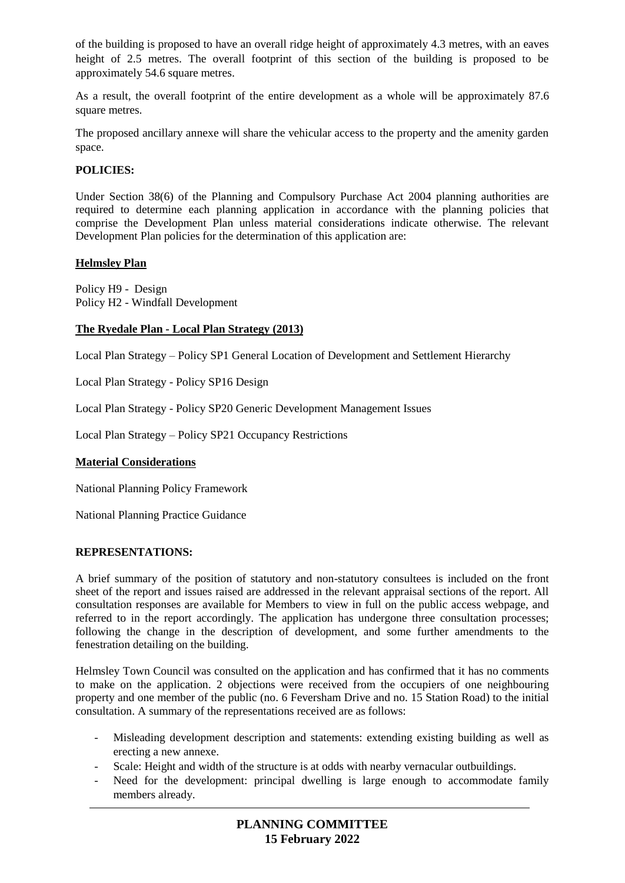of the building is proposed to have an overall ridge height of approximately 4.3 metres, with an eaves height of 2.5 metres. The overall footprint of this section of the building is proposed to be approximately 54.6 square metres.

As a result, the overall footprint of the entire development as a whole will be approximately 87.6 square metres.

The proposed ancillary annexe will share the vehicular access to the property and the amenity garden space.

### **POLICIES:**

Under Section 38(6) of the Planning and Compulsory Purchase Act 2004 planning authorities are required to determine each planning application in accordance with the planning policies that comprise the Development Plan unless material considerations indicate otherwise. The relevant Development Plan policies for the determination of this application are:

### **Helmsley Plan**

Policy H9 - Design Policy H2 - Windfall Development

### **The Ryedale Plan - Local Plan Strategy (2013)**

Local Plan Strategy – Policy SP1 General Location of Development and Settlement Hierarchy

Local Plan Strategy - Policy SP16 Design

Local Plan Strategy - Policy SP20 Generic Development Management Issues

Local Plan Strategy – Policy SP21 Occupancy Restrictions

#### **Material Considerations**

National Planning Policy Framework

National Planning Practice Guidance

#### **REPRESENTATIONS:**

A brief summary of the position of statutory and non-statutory consultees is included on the front sheet of the report and issues raised are addressed in the relevant appraisal sections of the report. All consultation responses are available for Members to view in full on the public access webpage, and referred to in the report accordingly. The application has undergone three consultation processes; following the change in the description of development, and some further amendments to the fenestration detailing on the building.

Helmsley Town Council was consulted on the application and has confirmed that it has no comments to make on the application. 2 objections were received from the occupiers of one neighbouring property and one member of the public (no. 6 Feversham Drive and no. 15 Station Road) to the initial consultation. A summary of the representations received are as follows:

- Misleading development description and statements: extending existing building as well as erecting a new annexe.
- Scale: Height and width of the structure is at odds with nearby vernacular outbuildings.
- Need for the development: principal dwelling is large enough to accommodate family members already.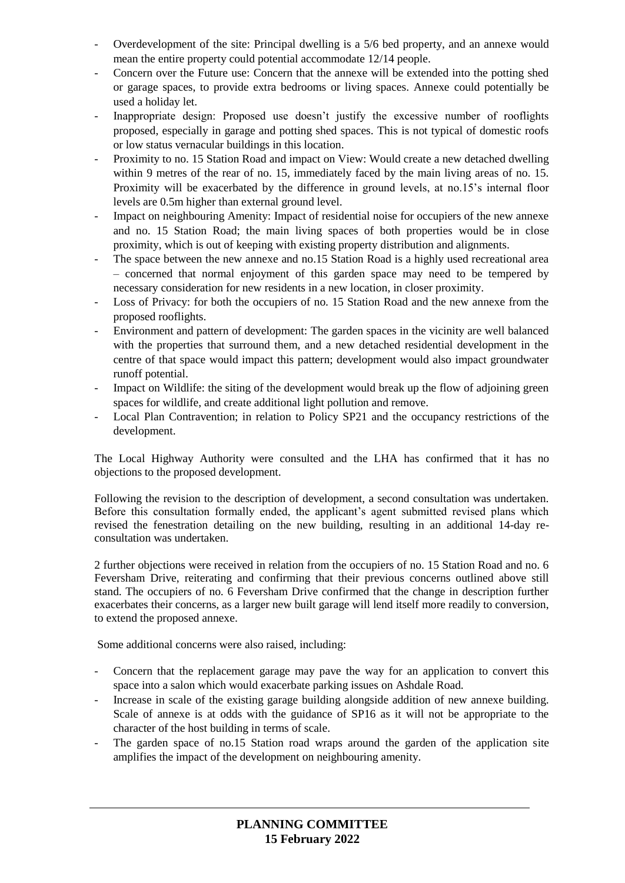- Overdevelopment of the site: Principal dwelling is a 5/6 bed property, and an annexe would mean the entire property could potential accommodate 12/14 people.
- Concern over the Future use: Concern that the annexe will be extended into the potting shed or garage spaces, to provide extra bedrooms or living spaces. Annexe could potentially be used a holiday let.
- Inappropriate design: Proposed use doesn't justify the excessive number of rooflights proposed, especially in garage and potting shed spaces. This is not typical of domestic roofs or low status vernacular buildings in this location.
- Proximity to no. 15 Station Road and impact on View: Would create a new detached dwelling within 9 metres of the rear of no. 15, immediately faced by the main living areas of no. 15. Proximity will be exacerbated by the difference in ground levels, at no.15's internal floor levels are 0.5m higher than external ground level.
- Impact on neighbouring Amenity: Impact of residential noise for occupiers of the new annexe and no. 15 Station Road; the main living spaces of both properties would be in close proximity, which is out of keeping with existing property distribution and alignments.
- The space between the new annexe and no.15 Station Road is a highly used recreational area – concerned that normal enjoyment of this garden space may need to be tempered by necessary consideration for new residents in a new location, in closer proximity.
- Loss of Privacy: for both the occupiers of no. 15 Station Road and the new annexe from the proposed rooflights.
- Environment and pattern of development: The garden spaces in the vicinity are well balanced with the properties that surround them, and a new detached residential development in the centre of that space would impact this pattern; development would also impact groundwater runoff potential.
- Impact on Wildlife: the siting of the development would break up the flow of adjoining green spaces for wildlife, and create additional light pollution and remove.
- Local Plan Contravention; in relation to Policy SP21 and the occupancy restrictions of the development.

The Local Highway Authority were consulted and the LHA has confirmed that it has no objections to the proposed development.

Following the revision to the description of development, a second consultation was undertaken. Before this consultation formally ended, the applicant's agent submitted revised plans which revised the fenestration detailing on the new building, resulting in an additional 14-day reconsultation was undertaken.

2 further objections were received in relation from the occupiers of no. 15 Station Road and no. 6 Feversham Drive, reiterating and confirming that their previous concerns outlined above still stand. The occupiers of no. 6 Feversham Drive confirmed that the change in description further exacerbates their concerns, as a larger new built garage will lend itself more readily to conversion, to extend the proposed annexe.

Some additional concerns were also raised, including:

- Concern that the replacement garage may pave the way for an application to convert this space into a salon which would exacerbate parking issues on Ashdale Road.
- Increase in scale of the existing garage building alongside addition of new annexe building. Scale of annexe is at odds with the guidance of SP16 as it will not be appropriate to the character of the host building in terms of scale.
- The garden space of no.15 Station road wraps around the garden of the application site amplifies the impact of the development on neighbouring amenity.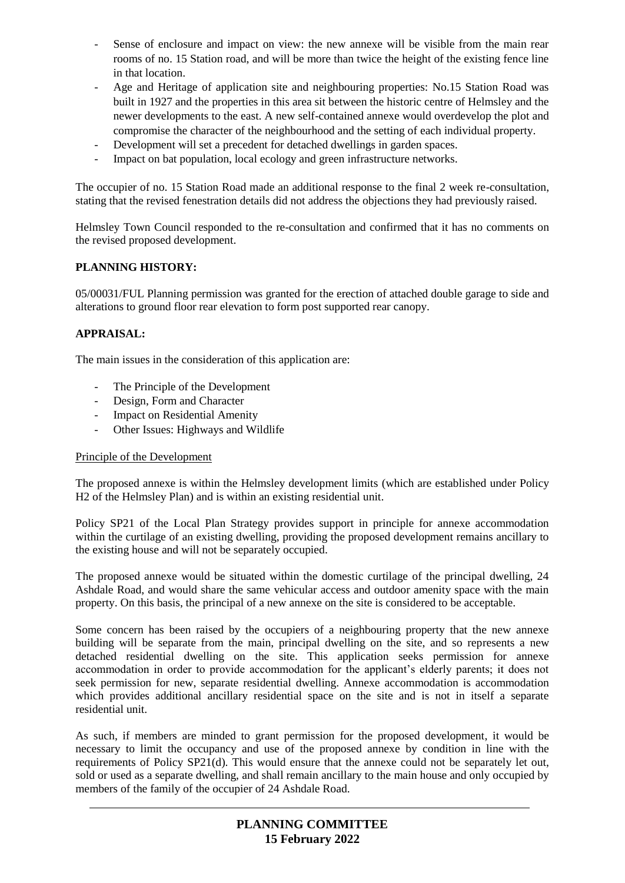- Sense of enclosure and impact on view: the new annexe will be visible from the main rear rooms of no. 15 Station road, and will be more than twice the height of the existing fence line in that location.
- Age and Heritage of application site and neighbouring properties: No.15 Station Road was built in 1927 and the properties in this area sit between the historic centre of Helmsley and the newer developments to the east. A new self-contained annexe would overdevelop the plot and compromise the character of the neighbourhood and the setting of each individual property.
- Development will set a precedent for detached dwellings in garden spaces.
- Impact on bat population, local ecology and green infrastructure networks.

The occupier of no. 15 Station Road made an additional response to the final 2 week re-consultation, stating that the revised fenestration details did not address the objections they had previously raised.

Helmsley Town Council responded to the re-consultation and confirmed that it has no comments on the revised proposed development.

# **PLANNING HISTORY:**

05/00031/FUL Planning permission was granted for the erection of attached double garage to side and alterations to ground floor rear elevation to form post supported rear canopy.

# **APPRAISAL:**

The main issues in the consideration of this application are:

- The Principle of the Development
- Design, Form and Character
- Impact on Residential Amenity
- Other Issues: Highways and Wildlife

#### Principle of the Development

The proposed annexe is within the Helmsley development limits (which are established under Policy H2 of the Helmsley Plan) and is within an existing residential unit.

Policy SP21 of the Local Plan Strategy provides support in principle for annexe accommodation within the curtilage of an existing dwelling, providing the proposed development remains ancillary to the existing house and will not be separately occupied.

The proposed annexe would be situated within the domestic curtilage of the principal dwelling, 24 Ashdale Road, and would share the same vehicular access and outdoor amenity space with the main property. On this basis, the principal of a new annexe on the site is considered to be acceptable.

Some concern has been raised by the occupiers of a neighbouring property that the new annexe building will be separate from the main, principal dwelling on the site, and so represents a new detached residential dwelling on the site. This application seeks permission for annexe accommodation in order to provide accommodation for the applicant's elderly parents; it does not seek permission for new, separate residential dwelling. Annexe accommodation is accommodation which provides additional ancillary residential space on the site and is not in itself a separate residential unit.

As such, if members are minded to grant permission for the proposed development, it would be necessary to limit the occupancy and use of the proposed annexe by condition in line with the requirements of Policy SP21(d). This would ensure that the annexe could not be separately let out, sold or used as a separate dwelling, and shall remain ancillary to the main house and only occupied by members of the family of the occupier of 24 Ashdale Road.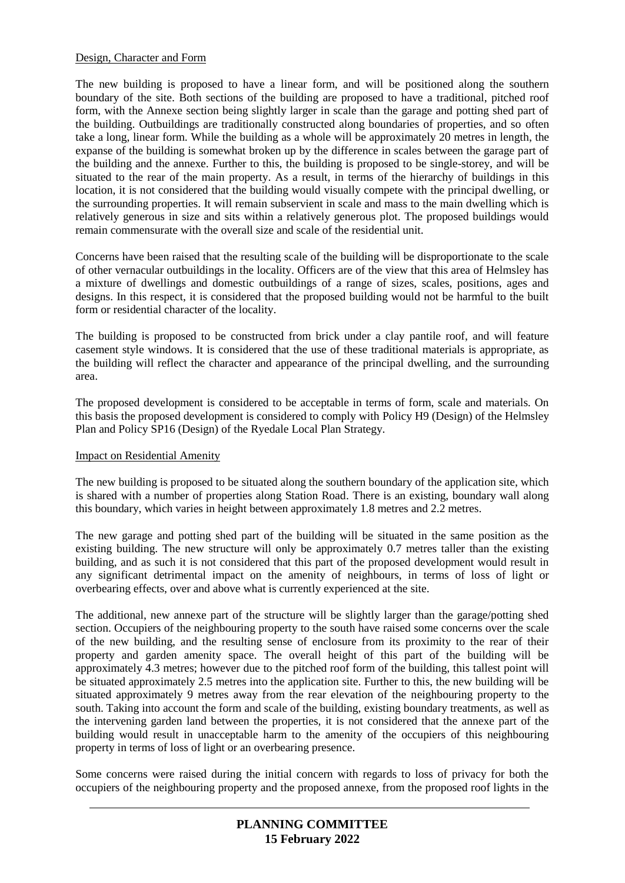### Design, Character and Form

The new building is proposed to have a linear form, and will be positioned along the southern boundary of the site. Both sections of the building are proposed to have a traditional, pitched roof form, with the Annexe section being slightly larger in scale than the garage and potting shed part of the building. Outbuildings are traditionally constructed along boundaries of properties, and so often take a long, linear form. While the building as a whole will be approximately 20 metres in length, the expanse of the building is somewhat broken up by the difference in scales between the garage part of the building and the annexe. Further to this, the building is proposed to be single-storey, and will be situated to the rear of the main property. As a result, in terms of the hierarchy of buildings in this location, it is not considered that the building would visually compete with the principal dwelling, or the surrounding properties. It will remain subservient in scale and mass to the main dwelling which is relatively generous in size and sits within a relatively generous plot. The proposed buildings would remain commensurate with the overall size and scale of the residential unit.

Concerns have been raised that the resulting scale of the building will be disproportionate to the scale of other vernacular outbuildings in the locality. Officers are of the view that this area of Helmsley has a mixture of dwellings and domestic outbuildings of a range of sizes, scales, positions, ages and designs. In this respect, it is considered that the proposed building would not be harmful to the built form or residential character of the locality.

The building is proposed to be constructed from brick under a clay pantile roof, and will feature casement style windows. It is considered that the use of these traditional materials is appropriate, as the building will reflect the character and appearance of the principal dwelling, and the surrounding area.

The proposed development is considered to be acceptable in terms of form, scale and materials. On this basis the proposed development is considered to comply with Policy H9 (Design) of the Helmsley Plan and Policy SP16 (Design) of the Ryedale Local Plan Strategy.

#### Impact on Residential Amenity

The new building is proposed to be situated along the southern boundary of the application site, which is shared with a number of properties along Station Road. There is an existing, boundary wall along this boundary, which varies in height between approximately 1.8 metres and 2.2 metres.

The new garage and potting shed part of the building will be situated in the same position as the existing building. The new structure will only be approximately 0.7 metres taller than the existing building, and as such it is not considered that this part of the proposed development would result in any significant detrimental impact on the amenity of neighbours, in terms of loss of light or overbearing effects, over and above what is currently experienced at the site.

The additional, new annexe part of the structure will be slightly larger than the garage/potting shed section. Occupiers of the neighbouring property to the south have raised some concerns over the scale of the new building, and the resulting sense of enclosure from its proximity to the rear of their property and garden amenity space. The overall height of this part of the building will be approximately 4.3 metres; however due to the pitched roof form of the building, this tallest point will be situated approximately 2.5 metres into the application site. Further to this, the new building will be situated approximately 9 metres away from the rear elevation of the neighbouring property to the south. Taking into account the form and scale of the building, existing boundary treatments, as well as the intervening garden land between the properties, it is not considered that the annexe part of the building would result in unacceptable harm to the amenity of the occupiers of this neighbouring property in terms of loss of light or an overbearing presence.

Some concerns were raised during the initial concern with regards to loss of privacy for both the occupiers of the neighbouring property and the proposed annexe, from the proposed roof lights in the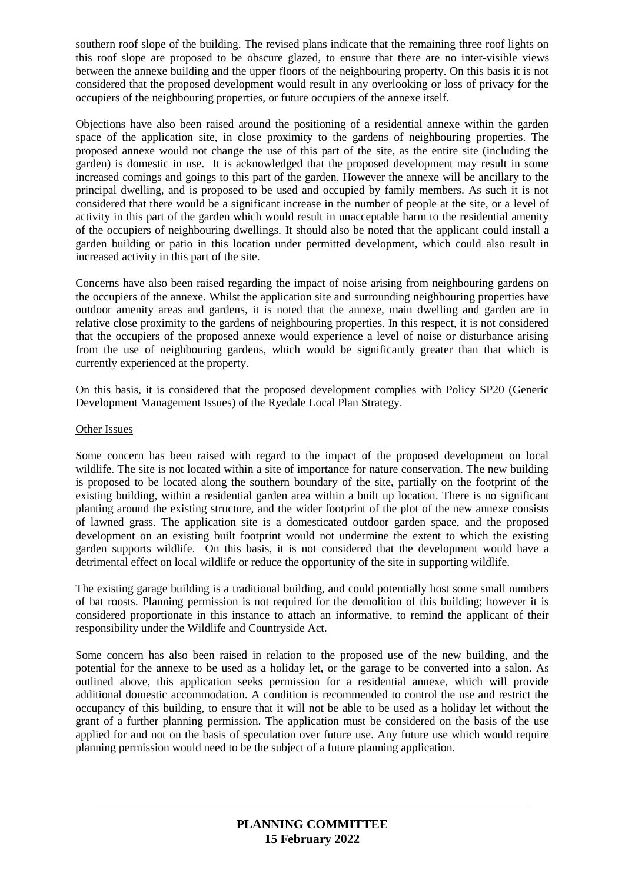southern roof slope of the building. The revised plans indicate that the remaining three roof lights on this roof slope are proposed to be obscure glazed, to ensure that there are no inter-visible views between the annexe building and the upper floors of the neighbouring property. On this basis it is not considered that the proposed development would result in any overlooking or loss of privacy for the occupiers of the neighbouring properties, or future occupiers of the annexe itself.

Objections have also been raised around the positioning of a residential annexe within the garden space of the application site, in close proximity to the gardens of neighbouring properties. The proposed annexe would not change the use of this part of the site, as the entire site (including the garden) is domestic in use. It is acknowledged that the proposed development may result in some increased comings and goings to this part of the garden. However the annexe will be ancillary to the principal dwelling, and is proposed to be used and occupied by family members. As such it is not considered that there would be a significant increase in the number of people at the site, or a level of activity in this part of the garden which would result in unacceptable harm to the residential amenity of the occupiers of neighbouring dwellings. It should also be noted that the applicant could install a garden building or patio in this location under permitted development, which could also result in increased activity in this part of the site.

Concerns have also been raised regarding the impact of noise arising from neighbouring gardens on the occupiers of the annexe. Whilst the application site and surrounding neighbouring properties have outdoor amenity areas and gardens, it is noted that the annexe, main dwelling and garden are in relative close proximity to the gardens of neighbouring properties. In this respect, it is not considered that the occupiers of the proposed annexe would experience a level of noise or disturbance arising from the use of neighbouring gardens, which would be significantly greater than that which is currently experienced at the property.

On this basis, it is considered that the proposed development complies with Policy SP20 (Generic Development Management Issues) of the Ryedale Local Plan Strategy.

### Other Issues

Some concern has been raised with regard to the impact of the proposed development on local wildlife. The site is not located within a site of importance for nature conservation. The new building is proposed to be located along the southern boundary of the site, partially on the footprint of the existing building, within a residential garden area within a built up location. There is no significant planting around the existing structure, and the wider footprint of the plot of the new annexe consists of lawned grass. The application site is a domesticated outdoor garden space, and the proposed development on an existing built footprint would not undermine the extent to which the existing garden supports wildlife. On this basis, it is not considered that the development would have a detrimental effect on local wildlife or reduce the opportunity of the site in supporting wildlife.

The existing garage building is a traditional building, and could potentially host some small numbers of bat roosts. Planning permission is not required for the demolition of this building; however it is considered proportionate in this instance to attach an informative, to remind the applicant of their responsibility under the Wildlife and Countryside Act.

Some concern has also been raised in relation to the proposed use of the new building, and the potential for the annexe to be used as a holiday let, or the garage to be converted into a salon. As outlined above, this application seeks permission for a residential annexe, which will provide additional domestic accommodation. A condition is recommended to control the use and restrict the occupancy of this building, to ensure that it will not be able to be used as a holiday let without the grant of a further planning permission. The application must be considered on the basis of the use applied for and not on the basis of speculation over future use. Any future use which would require planning permission would need to be the subject of a future planning application.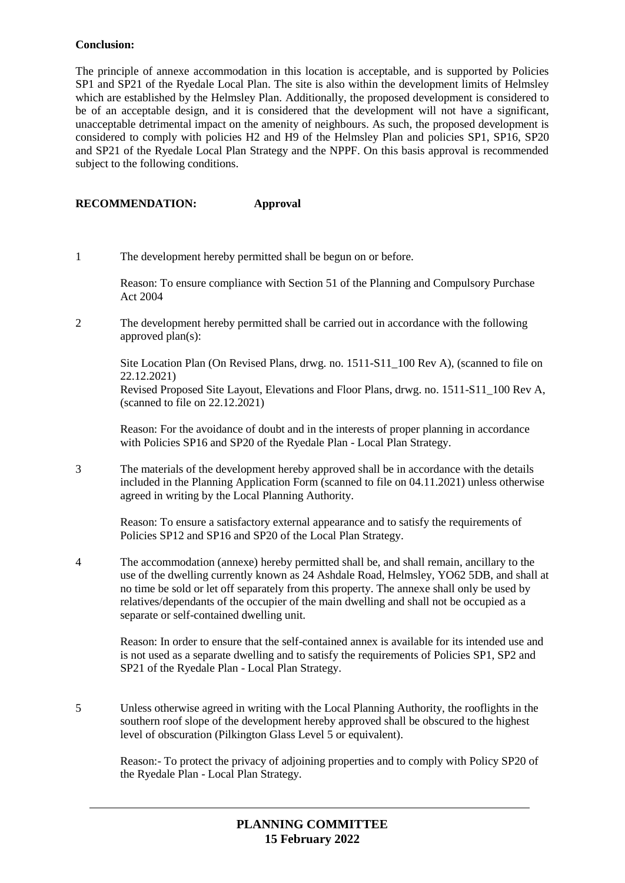### **Conclusion:**

The principle of annexe accommodation in this location is acceptable, and is supported by Policies SP1 and SP21 of the Ryedale Local Plan. The site is also within the development limits of Helmsley which are established by the Helmsley Plan. Additionally, the proposed development is considered to be of an acceptable design, and it is considered that the development will not have a significant, unacceptable detrimental impact on the amenity of neighbours. As such, the proposed development is considered to comply with policies H2 and H9 of the Helmsley Plan and policies SP1, SP16, SP20 and SP21 of the Ryedale Local Plan Strategy and the NPPF. On this basis approval is recommended subject to the following conditions.

# **RECOMMENDATION: Approval**

1 The development hereby permitted shall be begun on or before.

Reason: To ensure compliance with Section 51 of the Planning and Compulsory Purchase Act 2004

2 The development hereby permitted shall be carried out in accordance with the following approved plan(s):

Site Location Plan (On Revised Plans, drwg. no. 1511-S11\_100 Rev A), (scanned to file on 22.12.2021)

Revised Proposed Site Layout, Elevations and Floor Plans, drwg. no. 1511-S11\_100 Rev A, (scanned to file on 22.12.2021)

Reason: For the avoidance of doubt and in the interests of proper planning in accordance with Policies SP16 and SP20 of the Ryedale Plan - Local Plan Strategy.

3 The materials of the development hereby approved shall be in accordance with the details included in the Planning Application Form (scanned to file on 04.11.2021) unless otherwise agreed in writing by the Local Planning Authority.

Reason: To ensure a satisfactory external appearance and to satisfy the requirements of Policies SP12 and SP16 and SP20 of the Local Plan Strategy.

4 The accommodation (annexe) hereby permitted shall be, and shall remain, ancillary to the use of the dwelling currently known as 24 Ashdale Road, Helmsley, YO62 5DB, and shall at no time be sold or let off separately from this property. The annexe shall only be used by relatives/dependants of the occupier of the main dwelling and shall not be occupied as a separate or self-contained dwelling unit.

Reason: In order to ensure that the self-contained annex is available for its intended use and is not used as a separate dwelling and to satisfy the requirements of Policies SP1, SP2 and SP21 of the Ryedale Plan - Local Plan Strategy.

5 Unless otherwise agreed in writing with the Local Planning Authority, the rooflights in the southern roof slope of the development hereby approved shall be obscured to the highest level of obscuration (Pilkington Glass Level 5 or equivalent).

Reason:- To protect the privacy of adjoining properties and to comply with Policy SP20 of the Ryedale Plan - Local Plan Strategy.